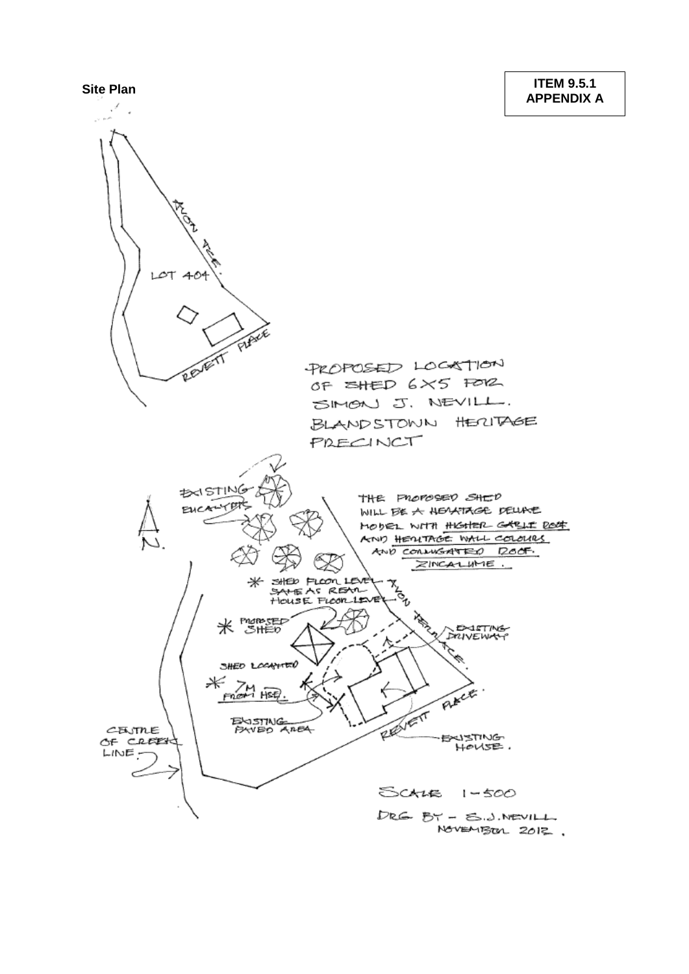**Site Plan ITEM 9.5.1 APPENDIX A**

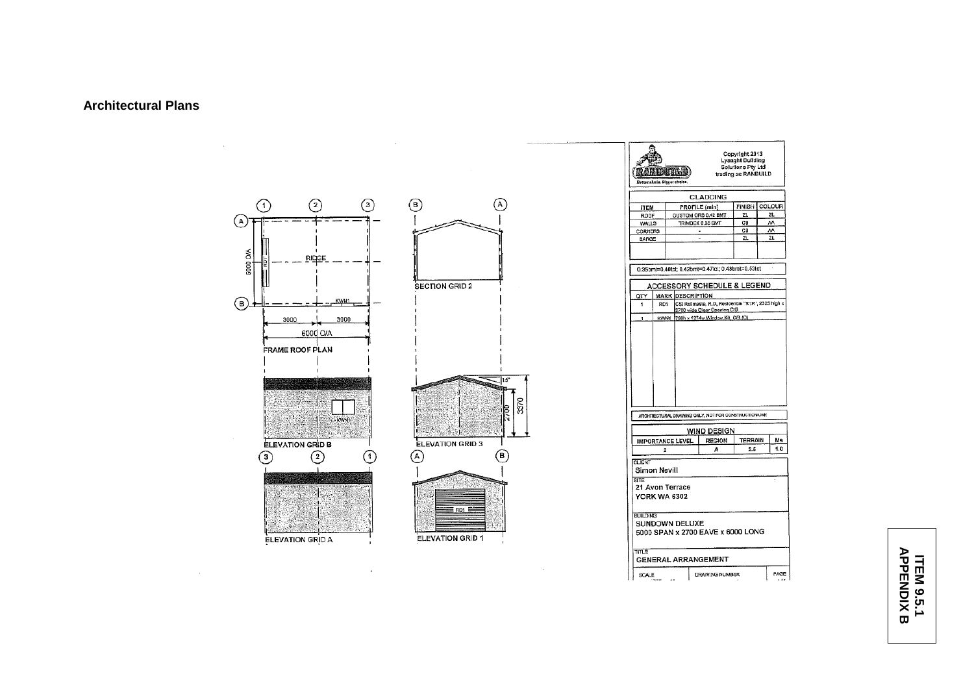## **Architectural Plans**



ITEM 9.5.1<br>APPENDIX B **APPENDIX BITEM 9.5.1**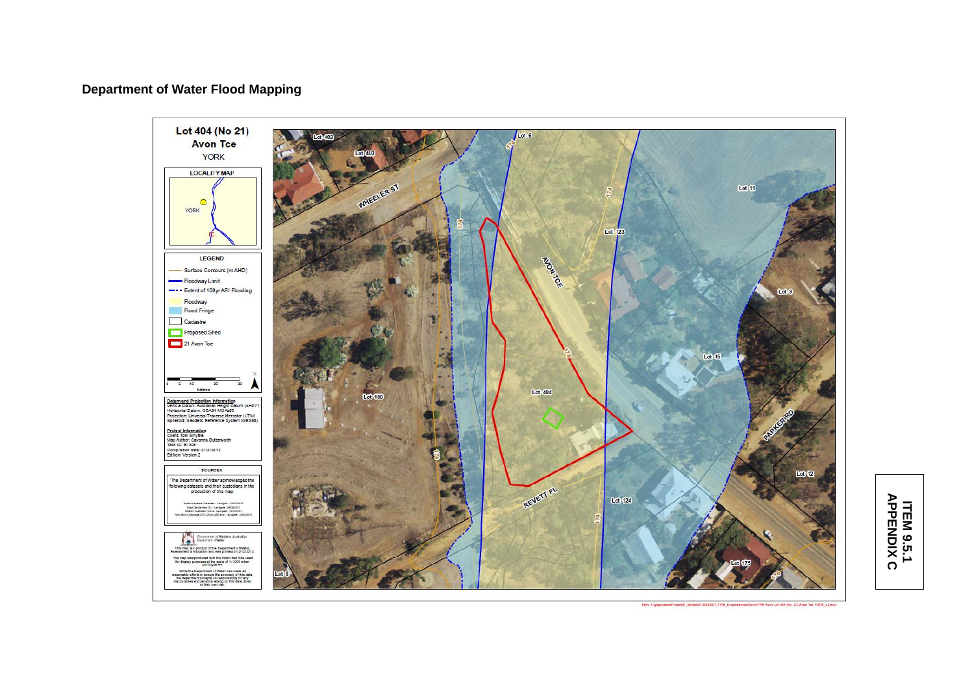## **Department of Water Flood Mapping**



## **ITEM 9.5.1 APPENDIX ITEM 9.5.1<br>APPENDIX C**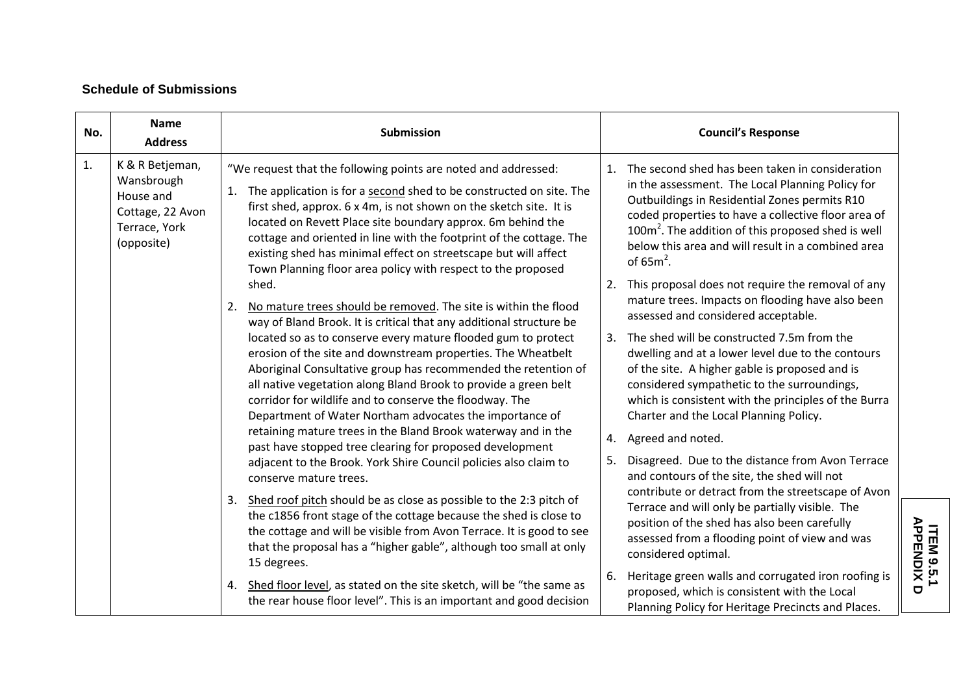## **Schedule of Submissions**

| No. | <b>Name</b><br><b>Address</b>                                                                 | Submission                                                                                                                                                                                                                                                                                                                                                                                                                                                                                                                                                                                                                                                                                                                                                                                                                                                                                                                                                                                                                                                                              | <b>Council's Response</b>                                                                                                                                                                                                                                                                                                                                                                                                                                                                                                                                                                                                                                                                                                                                                                                                |  |
|-----|-----------------------------------------------------------------------------------------------|-----------------------------------------------------------------------------------------------------------------------------------------------------------------------------------------------------------------------------------------------------------------------------------------------------------------------------------------------------------------------------------------------------------------------------------------------------------------------------------------------------------------------------------------------------------------------------------------------------------------------------------------------------------------------------------------------------------------------------------------------------------------------------------------------------------------------------------------------------------------------------------------------------------------------------------------------------------------------------------------------------------------------------------------------------------------------------------------|--------------------------------------------------------------------------------------------------------------------------------------------------------------------------------------------------------------------------------------------------------------------------------------------------------------------------------------------------------------------------------------------------------------------------------------------------------------------------------------------------------------------------------------------------------------------------------------------------------------------------------------------------------------------------------------------------------------------------------------------------------------------------------------------------------------------------|--|
| 1.  | K & R Betjeman,<br>Wansbrough<br>House and<br>Cottage, 22 Avon<br>Terrace, York<br>(opposite) | "We request that the following points are noted and addressed:<br>1. The application is for a second shed to be constructed on site. The<br>first shed, approx. 6 x 4m, is not shown on the sketch site. It is<br>located on Revett Place site boundary approx. 6m behind the<br>cottage and oriented in line with the footprint of the cottage. The<br>existing shed has minimal effect on streetscape but will affect<br>Town Planning floor area policy with respect to the proposed                                                                                                                                                                                                                                                                                                                                                                                                                                                                                                                                                                                                 | The second shed has been taken in consideration<br>in the assessment. The Local Planning Policy for<br>Outbuildings in Residential Zones permits R10<br>coded properties to have a collective floor area of<br>100m <sup>2</sup> . The addition of this proposed shed is well<br>below this area and will result in a combined area<br>of $65m^2$ .                                                                                                                                                                                                                                                                                                                                                                                                                                                                      |  |
|     |                                                                                               | shed.<br>No mature trees should be removed. The site is within the flood<br>2.<br>way of Bland Brook. It is critical that any additional structure be<br>located so as to conserve every mature flooded gum to protect<br>erosion of the site and downstream properties. The Wheatbelt<br>Aboriginal Consultative group has recommended the retention of<br>all native vegetation along Bland Brook to provide a green belt<br>corridor for wildlife and to conserve the floodway. The<br>Department of Water Northam advocates the importance of<br>retaining mature trees in the Bland Brook waterway and in the<br>past have stopped tree clearing for proposed development<br>adjacent to the Brook. York Shire Council policies also claim to<br>conserve mature trees.<br>3. Shed roof pitch should be as close as possible to the 2:3 pitch of<br>the c1856 front stage of the cottage because the shed is close to<br>the cottage and will be visible from Avon Terrace. It is good to see<br>that the proposal has a "higher gable", although too small at only<br>15 degrees. | This proposal does not require the removal of any<br>mature trees. Impacts on flooding have also been<br>assessed and considered acceptable.<br>The shed will be constructed 7.5m from the<br>3.<br>dwelling and at a lower level due to the contours<br>of the site. A higher gable is proposed and is<br>considered sympathetic to the surroundings,<br>which is consistent with the principles of the Burra<br>Charter and the Local Planning Policy.<br>4. Agreed and noted.<br>5. Disagreed. Due to the distance from Avon Terrace<br>and contours of the site, the shed will not<br>contribute or detract from the streetscape of Avon<br>Terrace and will only be partially visible. The<br>position of the shed has also been carefully<br>assessed from a flooding point of view and was<br>considered optimal. |  |
|     |                                                                                               | 4. Shed floor level, as stated on the site sketch, will be "the same as<br>the rear house floor level". This is an important and good decision                                                                                                                                                                                                                                                                                                                                                                                                                                                                                                                                                                                                                                                                                                                                                                                                                                                                                                                                          | Heritage green walls and corrugated iron roofing is<br>6.<br>proposed, which is consistent with the Local<br>Planning Policy for Heritage Precincts and Places.                                                                                                                                                                                                                                                                                                                                                                                                                                                                                                                                                                                                                                                          |  |